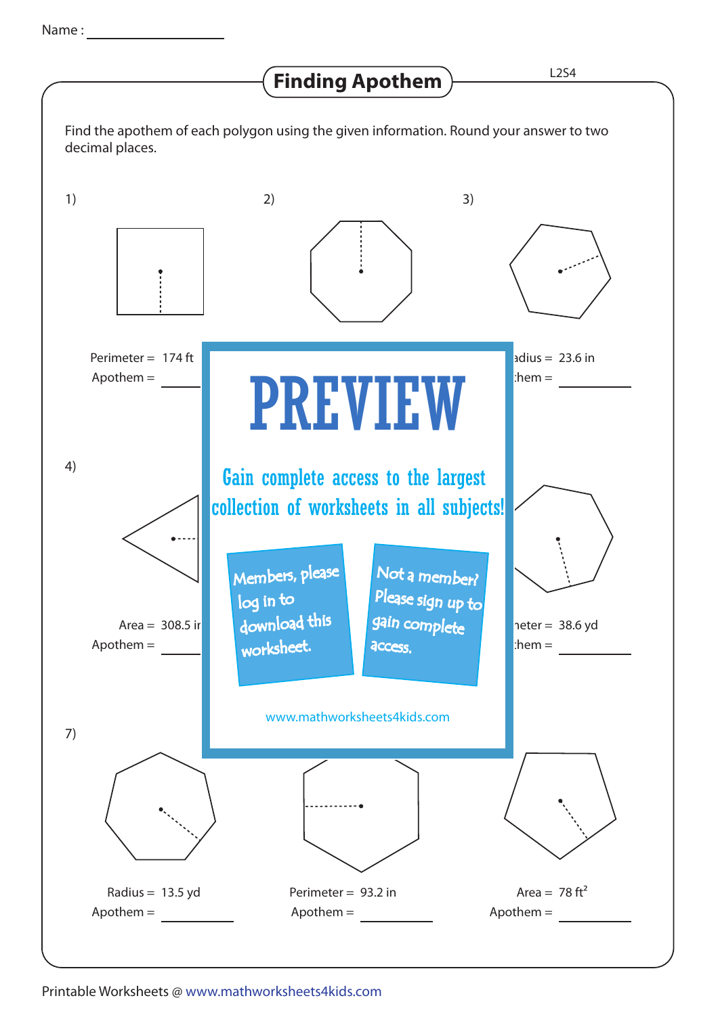